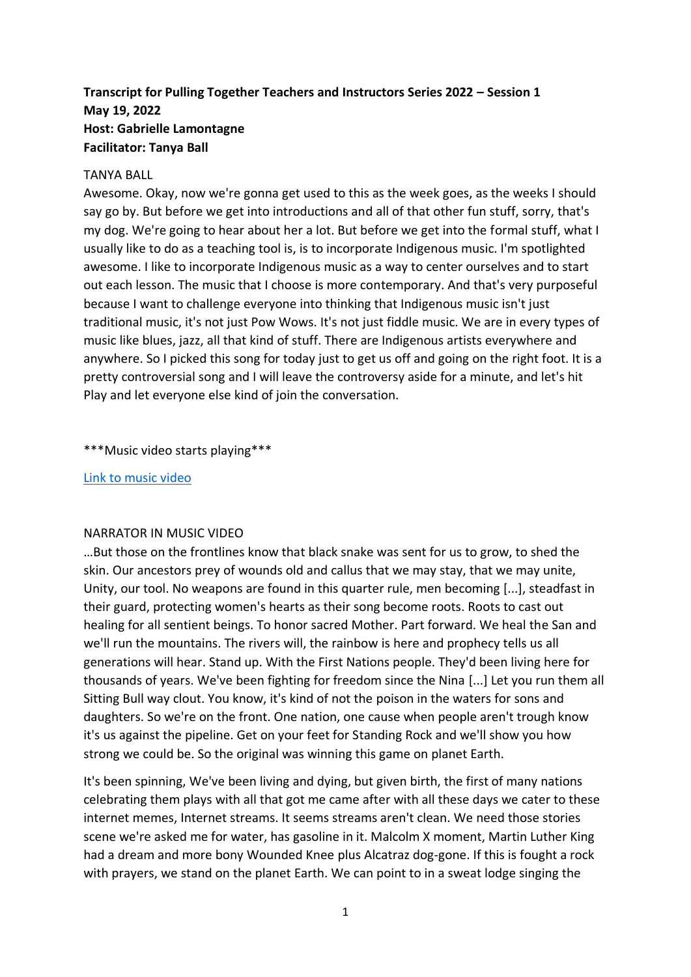# **Transcript for Pulling Together Teachers and Instructors Series 2022 – Session 1 May 19, 2022 Host: Gabrielle Lamontagne Facilitator: Tanya Ball**

# TANYA BALL

Awesome. Okay, now we're gonna get used to this as the week goes, as the weeks I should say go by. But before we get into introductions and all of that other fun stuff, sorry, that's my dog. We're going to hear about her a lot. But before we get into the formal stuff, what I usually like to do as a teaching tool is, is to incorporate Indigenous music. I'm spotlighted awesome. I like to incorporate Indigenous music as a way to center ourselves and to start out each lesson. The music that I choose is more contemporary. And that's very purposeful because I want to challenge everyone into thinking that Indigenous music isn't just traditional music, it's not just Pow Wows. It's not just fiddle music. We are in every types of music like blues, jazz, all that kind of stuff. There are Indigenous artists everywhere and anywhere. So I picked this song for today just to get us off and going on the right foot. It is a pretty controversial song and I will leave the controversy aside for a minute, and let's hit Play and let everyone else kind of join the conversation.

\*\*\*Music video starts playing\*\*\*

[Link to music video](https://www.youtube.com/watch?v=Onyk7guvHK8&ab_channel=Taboo)

# NARRATOR IN MUSIC VIDEO

…But those on the frontlines know that black snake was sent for us to grow, to shed the skin. Our ancestors prey of wounds old and callus that we may stay, that we may unite, Unity, our tool. No weapons are found in this quarter rule, men becoming [...], steadfast in their guard, protecting women's hearts as their song become roots. Roots to cast out healing for all sentient beings. To honor sacred Mother. Part forward. We heal the San and we'll run the mountains. The rivers will, the rainbow is here and prophecy tells us all generations will hear. Stand up. With the First Nations people. They'd been living here for thousands of years. We've been fighting for freedom since the Nina [...] Let you run them all Sitting Bull way clout. You know, it's kind of not the poison in the waters for sons and daughters. So we're on the front. One nation, one cause when people aren't trough know it's us against the pipeline. Get on your feet for Standing Rock and we'll show you how strong we could be. So the original was winning this game on planet Earth.

It's been spinning, We've been living and dying, but given birth, the first of many nations celebrating them plays with all that got me came after with all these days we cater to these internet memes, Internet streams. It seems streams aren't clean. We need those stories scene we're asked me for water, has gasoline in it. Malcolm X moment, Martin Luther King had a dream and more bony Wounded Knee plus Alcatraz dog-gone. If this is fought a rock with prayers, we stand on the planet Earth. We can point to in a sweat lodge singing the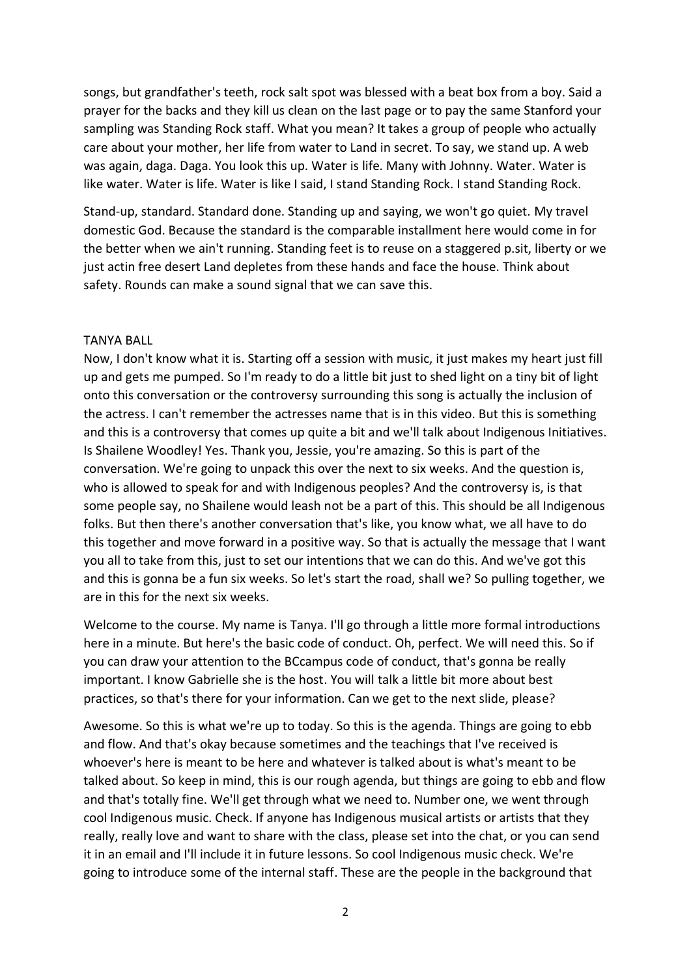songs, but grandfather's teeth, rock salt spot was blessed with a beat box from a boy. Said a prayer for the backs and they kill us clean on the last page or to pay the same Stanford your sampling was Standing Rock staff. What you mean? It takes a group of people who actually care about your mother, her life from water to Land in secret. To say, we stand up. A web was again, daga. Daga. You look this up. Water is life. Many with Johnny. Water. Water is like water. Water is life. Water is like I said, I stand Standing Rock. I stand Standing Rock.

Stand-up, standard. Standard done. Standing up and saying, we won't go quiet. My travel domestic God. Because the standard is the comparable installment here would come in for the better when we ain't running. Standing feet is to reuse on a staggered p.sit, liberty or we just actin free desert Land depletes from these hands and face the house. Think about safety. Rounds can make a sound signal that we can save this.

#### TANYA BALL

Now, I don't know what it is. Starting off a session with music, it just makes my heart just fill up and gets me pumped. So I'm ready to do a little bit just to shed light on a tiny bit of light onto this conversation or the controversy surrounding this song is actually the inclusion of the actress. I can't remember the actresses name that is in this video. But this is something and this is a controversy that comes up quite a bit and we'll talk about Indigenous Initiatives. Is Shailene Woodley! Yes. Thank you, Jessie, you're amazing. So this is part of the conversation. We're going to unpack this over the next to six weeks. And the question is, who is allowed to speak for and with Indigenous peoples? And the controversy is, is that some people say, no Shailene would leash not be a part of this. This should be all Indigenous folks. But then there's another conversation that's like, you know what, we all have to do this together and move forward in a positive way. So that is actually the message that I want you all to take from this, just to set our intentions that we can do this. And we've got this and this is gonna be a fun six weeks. So let's start the road, shall we? So pulling together, we are in this for the next six weeks.

Welcome to the course. My name is Tanya. I'll go through a little more formal introductions here in a minute. But here's the basic code of conduct. Oh, perfect. We will need this. So if you can draw your attention to the BCcampus code of conduct, that's gonna be really important. I know Gabrielle she is the host. You will talk a little bit more about best practices, so that's there for your information. Can we get to the next slide, please?

Awesome. So this is what we're up to today. So this is the agenda. Things are going to ebb and flow. And that's okay because sometimes and the teachings that I've received is whoever's here is meant to be here and whatever is talked about is what's meant to be talked about. So keep in mind, this is our rough agenda, but things are going to ebb and flow and that's totally fine. We'll get through what we need to. Number one, we went through cool Indigenous music. Check. If anyone has Indigenous musical artists or artists that they really, really love and want to share with the class, please set into the chat, or you can send it in an email and I'll include it in future lessons. So cool Indigenous music check. We're going to introduce some of the internal staff. These are the people in the background that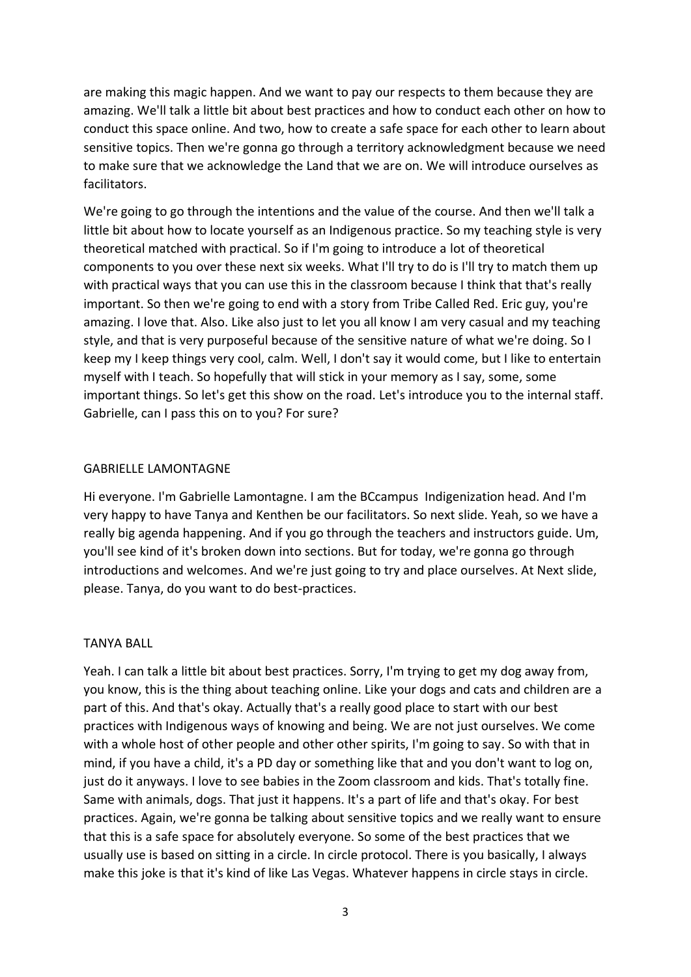are making this magic happen. And we want to pay our respects to them because they are amazing. We'll talk a little bit about best practices and how to conduct each other on how to conduct this space online. And two, how to create a safe space for each other to learn about sensitive topics. Then we're gonna go through a territory acknowledgment because we need to make sure that we acknowledge the Land that we are on. We will introduce ourselves as facilitators.

We're going to go through the intentions and the value of the course. And then we'll talk a little bit about how to locate yourself as an Indigenous practice. So my teaching style is very theoretical matched with practical. So if I'm going to introduce a lot of theoretical components to you over these next six weeks. What I'll try to do is I'll try to match them up with practical ways that you can use this in the classroom because I think that that's really important. So then we're going to end with a story from Tribe Called Red. Eric guy, you're amazing. I love that. Also. Like also just to let you all know I am very casual and my teaching style, and that is very purposeful because of the sensitive nature of what we're doing. So I keep my I keep things very cool, calm. Well, I don't say it would come, but I like to entertain myself with I teach. So hopefully that will stick in your memory as I say, some, some important things. So let's get this show on the road. Let's introduce you to the internal staff. Gabrielle, can I pass this on to you? For sure?

# GABRIELLE LAMONTAGNE

Hi everyone. I'm Gabrielle Lamontagne. I am the BCcampus Indigenization head. And I'm very happy to have Tanya and Kenthen be our facilitators. So next slide. Yeah, so we have a really big agenda happening. And if you go through the teachers and instructors guide. Um, you'll see kind of it's broken down into sections. But for today, we're gonna go through introductions and welcomes. And we're just going to try and place ourselves. At Next slide, please. Tanya, do you want to do best-practices.

# TANYA BALL

Yeah. I can talk a little bit about best practices. Sorry, I'm trying to get my dog away from, you know, this is the thing about teaching online. Like your dogs and cats and children are a part of this. And that's okay. Actually that's a really good place to start with our best practices with Indigenous ways of knowing and being. We are not just ourselves. We come with a whole host of other people and other other spirits, I'm going to say. So with that in mind, if you have a child, it's a PD day or something like that and you don't want to log on, just do it anyways. I love to see babies in the Zoom classroom and kids. That's totally fine. Same with animals, dogs. That just it happens. It's a part of life and that's okay. For best practices. Again, we're gonna be talking about sensitive topics and we really want to ensure that this is a safe space for absolutely everyone. So some of the best practices that we usually use is based on sitting in a circle. In circle protocol. There is you basically, I always make this joke is that it's kind of like Las Vegas. Whatever happens in circle stays in circle.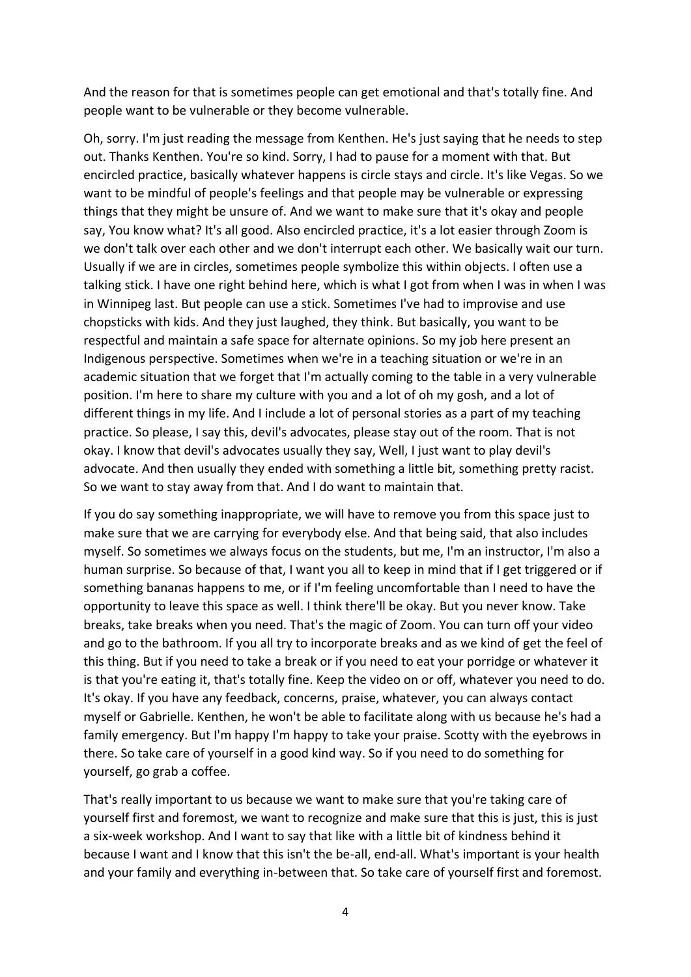And the reason for that is sometimes people can get emotional and that's totally fine. And people want to be vulnerable or they become vulnerable.

Oh, sorry. I'm just reading the message from Kenthen. He's just saying that he needs to step out. Thanks Kenthen. You're so kind. Sorry, I had to pause for a moment with that. But encircled practice, basically whatever happens is circle stays and circle. It's like Vegas. So we want to be mindful of people's feelings and that people may be vulnerable or expressing things that they might be unsure of. And we want to make sure that it's okay and people say, You know what? It's all good. Also encircled practice, it's a lot easier through Zoom is we don't talk over each other and we don't interrupt each other. We basically wait our turn. Usually if we are in circles, sometimes people symbolize this within objects. I often use a talking stick. I have one right behind here, which is what I got from when I was in when I was in Winnipeg last. But people can use a stick. Sometimes I've had to improvise and use chopsticks with kids. And they just laughed, they think. But basically, you want to be respectful and maintain a safe space for alternate opinions. So my job here present an Indigenous perspective. Sometimes when we're in a teaching situation or we're in an academic situation that we forget that I'm actually coming to the table in a very vulnerable position. I'm here to share my culture with you and a lot of oh my gosh, and a lot of different things in my life. And I include a lot of personal stories as a part of my teaching practice. So please, I say this, devil's advocates, please stay out of the room. That is not okay. I know that devil's advocates usually they say, Well, I just want to play devil's advocate. And then usually they ended with something a little bit, something pretty racist. So we want to stay away from that. And I do want to maintain that.

If you do say something inappropriate, we will have to remove you from this space just to make sure that we are carrying for everybody else. And that being said, that also includes myself. So sometimes we always focus on the students, but me, I'm an instructor, I'm also a human surprise. So because of that, I want you all to keep in mind that if I get triggered or if something bananas happens to me, or if I'm feeling uncomfortable than I need to have the opportunity to leave this space as well. I think there'll be okay. But you never know. Take breaks, take breaks when you need. That's the magic of Zoom. You can turn off your video and go to the bathroom. If you all try to incorporate breaks and as we kind of get the feel of this thing. But if you need to take a break or if you need to eat your porridge or whatever it is that you're eating it, that's totally fine. Keep the video on or off, whatever you need to do. It's okay. If you have any feedback, concerns, praise, whatever, you can always contact myself or Gabrielle. Kenthen, he won't be able to facilitate along with us because he's had a family emergency. But I'm happy I'm happy to take your praise. Scotty with the eyebrows in there. So take care of yourself in a good kind way. So if you need to do something for yourself, go grab a coffee.

That's really important to us because we want to make sure that you're taking care of yourself first and foremost, we want to recognize and make sure that this is just, this is just a six-week workshop. And I want to say that like with a little bit of kindness behind it because I want and I know that this isn't the be-all, end-all. What's important is your health and your family and everything in-between that. So take care of yourself first and foremost.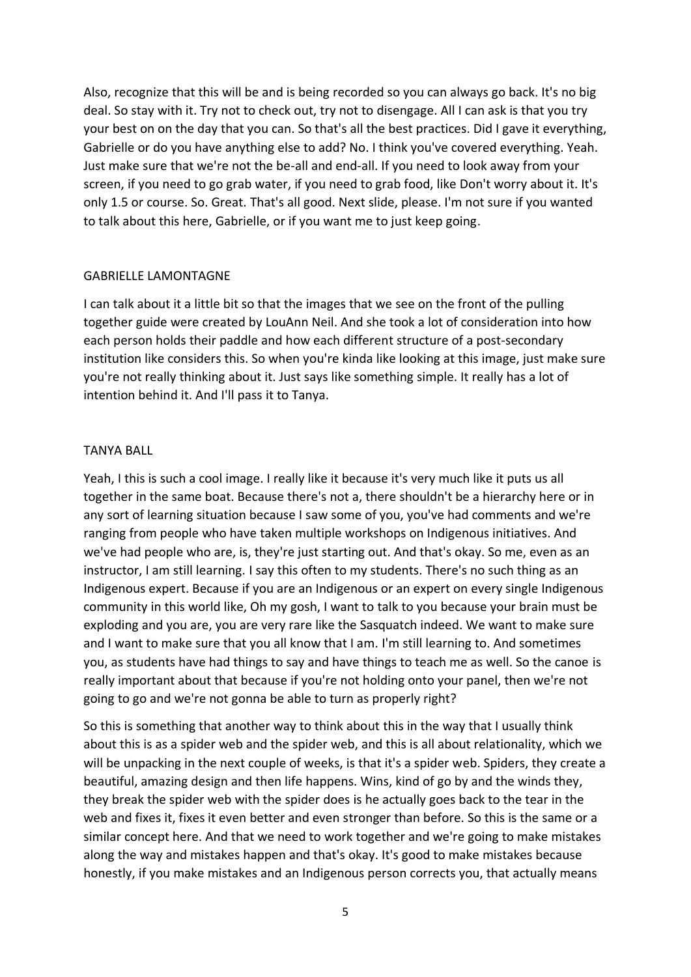Also, recognize that this will be and is being recorded so you can always go back. It's no big deal. So stay with it. Try not to check out, try not to disengage. All I can ask is that you try your best on on the day that you can. So that's all the best practices. Did I gave it everything, Gabrielle or do you have anything else to add? No. I think you've covered everything. Yeah. Just make sure that we're not the be-all and end-all. If you need to look away from your screen, if you need to go grab water, if you need to grab food, like Don't worry about it. It's only 1.5 or course. So. Great. That's all good. Next slide, please. I'm not sure if you wanted to talk about this here, Gabrielle, or if you want me to just keep going.

# GABRIELLE LAMONTAGNE

I can talk about it a little bit so that the images that we see on the front of the pulling together guide were created by LouAnn Neil. And she took a lot of consideration into how each person holds their paddle and how each different structure of a post-secondary institution like considers this. So when you're kinda like looking at this image, just make sure you're not really thinking about it. Just says like something simple. It really has a lot of intention behind it. And I'll pass it to Tanya.

# TANYA BALL

Yeah, I this is such a cool image. I really like it because it's very much like it puts us all together in the same boat. Because there's not a, there shouldn't be a hierarchy here or in any sort of learning situation because I saw some of you, you've had comments and we're ranging from people who have taken multiple workshops on Indigenous initiatives. And we've had people who are, is, they're just starting out. And that's okay. So me, even as an instructor, I am still learning. I say this often to my students. There's no such thing as an Indigenous expert. Because if you are an Indigenous or an expert on every single Indigenous community in this world like, Oh my gosh, I want to talk to you because your brain must be exploding and you are, you are very rare like the Sasquatch indeed. We want to make sure and I want to make sure that you all know that I am. I'm still learning to. And sometimes you, as students have had things to say and have things to teach me as well. So the canoe is really important about that because if you're not holding onto your panel, then we're not going to go and we're not gonna be able to turn as properly right?

So this is something that another way to think about this in the way that I usually think about this is as a spider web and the spider web, and this is all about relationality, which we will be unpacking in the next couple of weeks, is that it's a spider web. Spiders, they create a beautiful, amazing design and then life happens. Wins, kind of go by and the winds they, they break the spider web with the spider does is he actually goes back to the tear in the web and fixes it, fixes it even better and even stronger than before. So this is the same or a similar concept here. And that we need to work together and we're going to make mistakes along the way and mistakes happen and that's okay. It's good to make mistakes because honestly, if you make mistakes and an Indigenous person corrects you, that actually means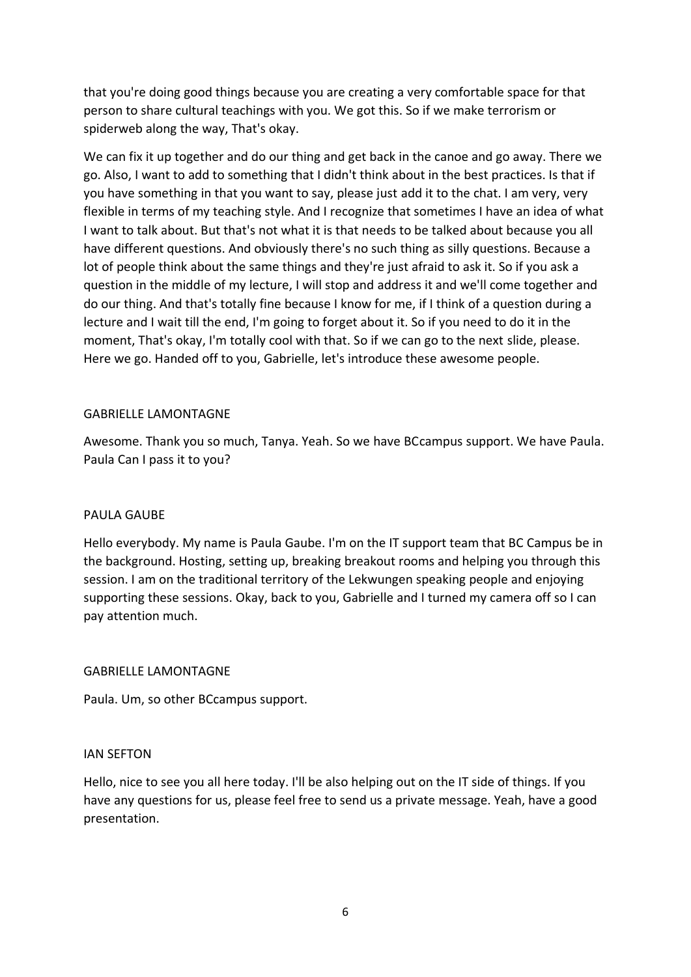that you're doing good things because you are creating a very comfortable space for that person to share cultural teachings with you. We got this. So if we make terrorism or spiderweb along the way, That's okay.

We can fix it up together and do our thing and get back in the canoe and go away. There we go. Also, I want to add to something that I didn't think about in the best practices. Is that if you have something in that you want to say, please just add it to the chat. I am very, very flexible in terms of my teaching style. And I recognize that sometimes I have an idea of what I want to talk about. But that's not what it is that needs to be talked about because you all have different questions. And obviously there's no such thing as silly questions. Because a lot of people think about the same things and they're just afraid to ask it. So if you ask a question in the middle of my lecture, I will stop and address it and we'll come together and do our thing. And that's totally fine because I know for me, if I think of a question during a lecture and I wait till the end, I'm going to forget about it. So if you need to do it in the moment, That's okay, I'm totally cool with that. So if we can go to the next slide, please. Here we go. Handed off to you, Gabrielle, let's introduce these awesome people.

# GABRIELLE LAMONTAGNE

Awesome. Thank you so much, Tanya. Yeah. So we have BCcampus support. We have Paula. Paula Can I pass it to you?

# PAULA GAUBE

Hello everybody. My name is Paula Gaube. I'm on the IT support team that BC Campus be in the background. Hosting, setting up, breaking breakout rooms and helping you through this session. I am on the traditional territory of the Lekwungen speaking people and enjoying supporting these sessions. Okay, back to you, Gabrielle and I turned my camera off so I can pay attention much.

# GABRIELLE LAMONTAGNE

Paula. Um, so other BCcampus support.

# IAN SEFTON

Hello, nice to see you all here today. I'll be also helping out on the IT side of things. If you have any questions for us, please feel free to send us a private message. Yeah, have a good presentation.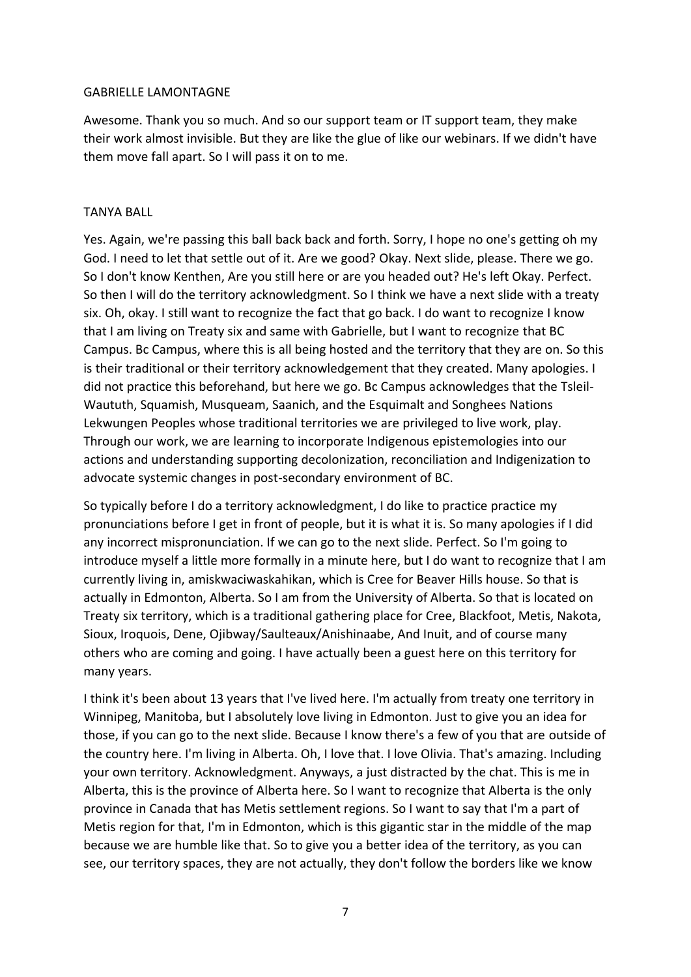# GABRIELLE LAMONTAGNE

Awesome. Thank you so much. And so our support team or IT support team, they make their work almost invisible. But they are like the glue of like our webinars. If we didn't have them move fall apart. So I will pass it on to me.

# TANYA BALL

Yes. Again, we're passing this ball back back and forth. Sorry, I hope no one's getting oh my God. I need to let that settle out of it. Are we good? Okay. Next slide, please. There we go. So I don't know Kenthen, Are you still here or are you headed out? He's left Okay. Perfect. So then I will do the territory acknowledgment. So I think we have a next slide with a treaty six. Oh, okay. I still want to recognize the fact that go back. I do want to recognize I know that I am living on Treaty six and same with Gabrielle, but I want to recognize that BC Campus. Bc Campus, where this is all being hosted and the territory that they are on. So this is their traditional or their territory acknowledgement that they created. Many apologies. I did not practice this beforehand, but here we go. Bc Campus acknowledges that the Tsleil-Waututh, Squamish, Musqueam, Saanich, and the Esquimalt and Songhees Nations Lekwungen Peoples whose traditional territories we are privileged to live work, play. Through our work, we are learning to incorporate Indigenous epistemologies into our actions and understanding supporting decolonization, reconciliation and Indigenization to advocate systemic changes in post-secondary environment of BC.

So typically before I do a territory acknowledgment, I do like to practice practice my pronunciations before I get in front of people, but it is what it is. So many apologies if I did any incorrect mispronunciation. If we can go to the next slide. Perfect. So I'm going to introduce myself a little more formally in a minute here, but I do want to recognize that I am currently living in, amiskwaciwaskahikan, which is Cree for Beaver Hills house. So that is actually in Edmonton, Alberta. So I am from the University of Alberta. So that is located on Treaty six territory, which is a traditional gathering place for Cree, Blackfoot, Metis, Nakota, Sioux, Iroquois, Dene, Ojibway/Saulteaux/Anishinaabe, And Inuit, and of course many others who are coming and going. I have actually been a guest here on this territory for many years.

I think it's been about 13 years that I've lived here. I'm actually from treaty one territory in Winnipeg, Manitoba, but I absolutely love living in Edmonton. Just to give you an idea for those, if you can go to the next slide. Because I know there's a few of you that are outside of the country here. I'm living in Alberta. Oh, I love that. I love Olivia. That's amazing. Including your own territory. Acknowledgment. Anyways, a just distracted by the chat. This is me in Alberta, this is the province of Alberta here. So I want to recognize that Alberta is the only province in Canada that has Metis settlement regions. So I want to say that I'm a part of Metis region for that, I'm in Edmonton, which is this gigantic star in the middle of the map because we are humble like that. So to give you a better idea of the territory, as you can see, our territory spaces, they are not actually, they don't follow the borders like we know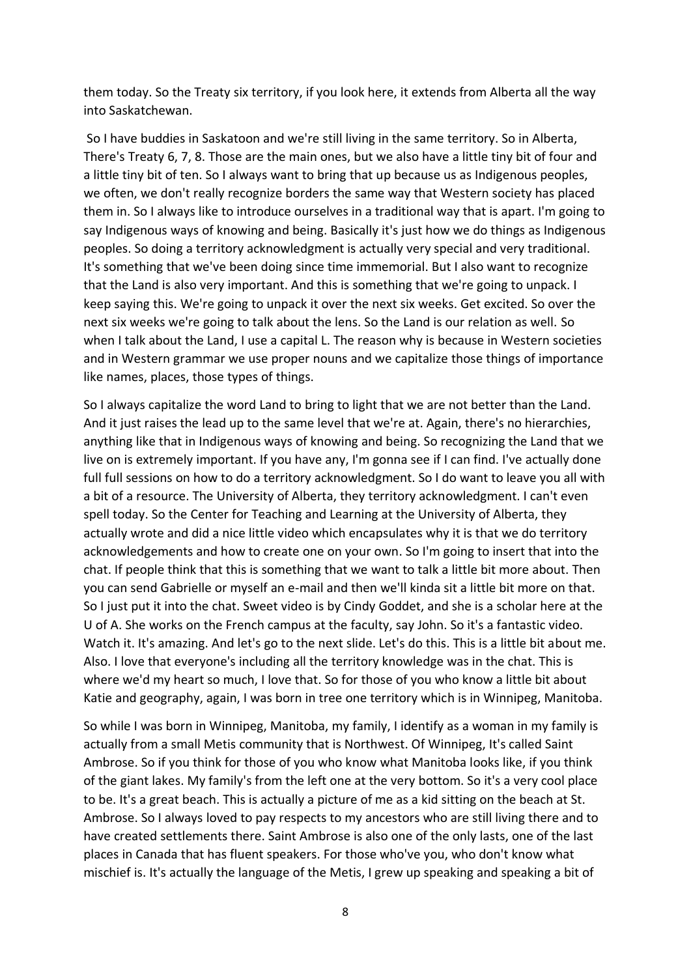them today. So the Treaty six territory, if you look here, it extends from Alberta all the way into Saskatchewan.

So I have buddies in Saskatoon and we're still living in the same territory. So in Alberta, There's Treaty 6, 7, 8. Those are the main ones, but we also have a little tiny bit of four and a little tiny bit of ten. So I always want to bring that up because us as Indigenous peoples, we often, we don't really recognize borders the same way that Western society has placed them in. So I always like to introduce ourselves in a traditional way that is apart. I'm going to say Indigenous ways of knowing and being. Basically it's just how we do things as Indigenous peoples. So doing a territory acknowledgment is actually very special and very traditional. It's something that we've been doing since time immemorial. But I also want to recognize that the Land is also very important. And this is something that we're going to unpack. I keep saying this. We're going to unpack it over the next six weeks. Get excited. So over the next six weeks we're going to talk about the lens. So the Land is our relation as well. So when I talk about the Land, I use a capital L. The reason why is because in Western societies and in Western grammar we use proper nouns and we capitalize those things of importance like names, places, those types of things.

So I always capitalize the word Land to bring to light that we are not better than the Land. And it just raises the lead up to the same level that we're at. Again, there's no hierarchies, anything like that in Indigenous ways of knowing and being. So recognizing the Land that we live on is extremely important. If you have any, I'm gonna see if I can find. I've actually done full full sessions on how to do a territory acknowledgment. So I do want to leave you all with a bit of a resource. The University of Alberta, they territory acknowledgment. I can't even spell today. So the Center for Teaching and Learning at the University of Alberta, they actually wrote and did a nice little video which encapsulates why it is that we do territory acknowledgements and how to create one on your own. So I'm going to insert that into the chat. If people think that this is something that we want to talk a little bit more about. Then you can send Gabrielle or myself an e-mail and then we'll kinda sit a little bit more on that. So I just put it into the chat. Sweet video is by Cindy Goddet, and she is a scholar here at the U of A. She works on the French campus at the faculty, say John. So it's a fantastic video. Watch it. It's amazing. And let's go to the next slide. Let's do this. This is a little bit about me. Also. I love that everyone's including all the territory knowledge was in the chat. This is where we'd my heart so much, I love that. So for those of you who know a little bit about Katie and geography, again, I was born in tree one territory which is in Winnipeg, Manitoba.

So while I was born in Winnipeg, Manitoba, my family, I identify as a woman in my family is actually from a small Metis community that is Northwest. Of Winnipeg, It's called Saint Ambrose. So if you think for those of you who know what Manitoba looks like, if you think of the giant lakes. My family's from the left one at the very bottom. So it's a very cool place to be. It's a great beach. This is actually a picture of me as a kid sitting on the beach at St. Ambrose. So I always loved to pay respects to my ancestors who are still living there and to have created settlements there. Saint Ambrose is also one of the only lasts, one of the last places in Canada that has fluent speakers. For those who've you, who don't know what mischief is. It's actually the language of the Metis, I grew up speaking and speaking a bit of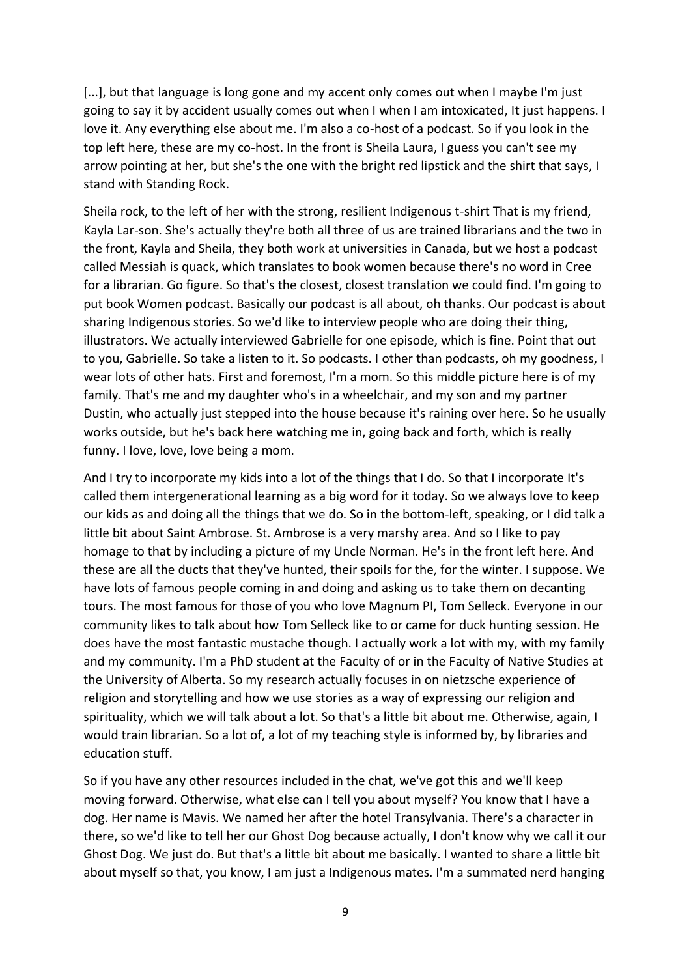[...], but that language is long gone and my accent only comes out when I maybe I'm just going to say it by accident usually comes out when I when I am intoxicated, It just happens. I love it. Any everything else about me. I'm also a co-host of a podcast. So if you look in the top left here, these are my co-host. In the front is Sheila Laura, I guess you can't see my arrow pointing at her, but she's the one with the bright red lipstick and the shirt that says, I stand with Standing Rock.

Sheila rock, to the left of her with the strong, resilient Indigenous t-shirt That is my friend, Kayla Lar-son. She's actually they're both all three of us are trained librarians and the two in the front, Kayla and Sheila, they both work at universities in Canada, but we host a podcast called Messiah is quack, which translates to book women because there's no word in Cree for a librarian. Go figure. So that's the closest, closest translation we could find. I'm going to put book Women podcast. Basically our podcast is all about, oh thanks. Our podcast is about sharing Indigenous stories. So we'd like to interview people who are doing their thing, illustrators. We actually interviewed Gabrielle for one episode, which is fine. Point that out to you, Gabrielle. So take a listen to it. So podcasts. I other than podcasts, oh my goodness, I wear lots of other hats. First and foremost, I'm a mom. So this middle picture here is of my family. That's me and my daughter who's in a wheelchair, and my son and my partner Dustin, who actually just stepped into the house because it's raining over here. So he usually works outside, but he's back here watching me in, going back and forth, which is really funny. I love, love, love being a mom.

And I try to incorporate my kids into a lot of the things that I do. So that I incorporate It's called them intergenerational learning as a big word for it today. So we always love to keep our kids as and doing all the things that we do. So in the bottom-left, speaking, or I did talk a little bit about Saint Ambrose. St. Ambrose is a very marshy area. And so I like to pay homage to that by including a picture of my Uncle Norman. He's in the front left here. And these are all the ducts that they've hunted, their spoils for the, for the winter. I suppose. We have lots of famous people coming in and doing and asking us to take them on decanting tours. The most famous for those of you who love Magnum PI, Tom Selleck. Everyone in our community likes to talk about how Tom Selleck like to or came for duck hunting session. He does have the most fantastic mustache though. I actually work a lot with my, with my family and my community. I'm a PhD student at the Faculty of or in the Faculty of Native Studies at the University of Alberta. So my research actually focuses in on nietzsche experience of religion and storytelling and how we use stories as a way of expressing our religion and spirituality, which we will talk about a lot. So that's a little bit about me. Otherwise, again, I would train librarian. So a lot of, a lot of my teaching style is informed by, by libraries and education stuff.

So if you have any other resources included in the chat, we've got this and we'll keep moving forward. Otherwise, what else can I tell you about myself? You know that I have a dog. Her name is Mavis. We named her after the hotel Transylvania. There's a character in there, so we'd like to tell her our Ghost Dog because actually, I don't know why we call it our Ghost Dog. We just do. But that's a little bit about me basically. I wanted to share a little bit about myself so that, you know, I am just a Indigenous mates. I'm a summated nerd hanging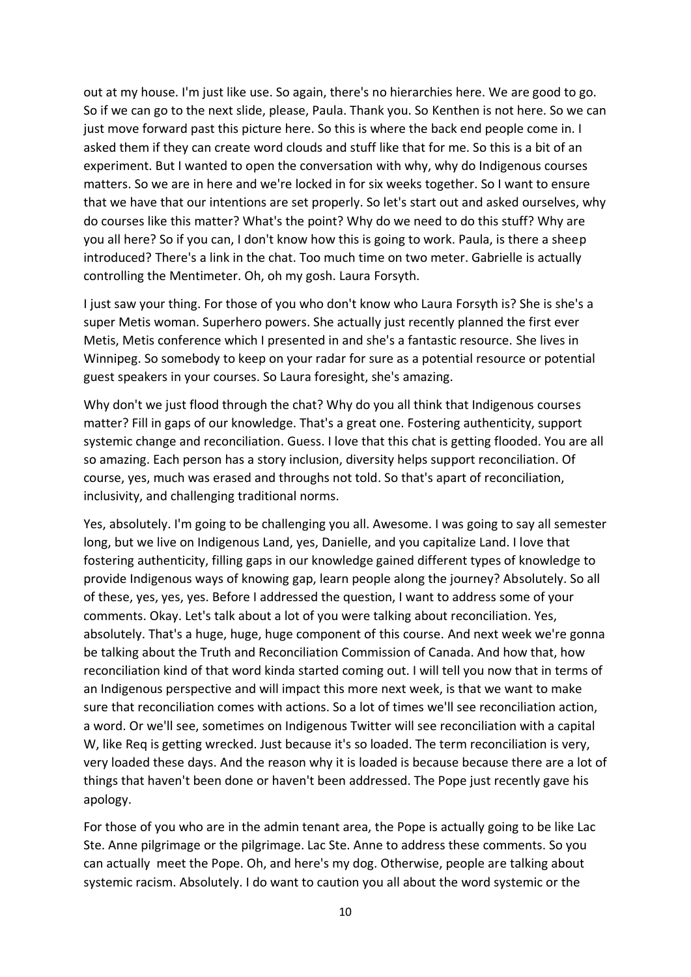out at my house. I'm just like use. So again, there's no hierarchies here. We are good to go. So if we can go to the next slide, please, Paula. Thank you. So Kenthen is not here. So we can just move forward past this picture here. So this is where the back end people come in. I asked them if they can create word clouds and stuff like that for me. So this is a bit of an experiment. But I wanted to open the conversation with why, why do Indigenous courses matters. So we are in here and we're locked in for six weeks together. So I want to ensure that we have that our intentions are set properly. So let's start out and asked ourselves, why do courses like this matter? What's the point? Why do we need to do this stuff? Why are you all here? So if you can, I don't know how this is going to work. Paula, is there a sheep introduced? There's a link in the chat. Too much time on two meter. Gabrielle is actually controlling the Mentimeter. Oh, oh my gosh. Laura Forsyth.

I just saw your thing. For those of you who don't know who Laura Forsyth is? She is she's a super Metis woman. Superhero powers. She actually just recently planned the first ever Metis, Metis conference which I presented in and she's a fantastic resource. She lives in Winnipeg. So somebody to keep on your radar for sure as a potential resource or potential guest speakers in your courses. So Laura foresight, she's amazing.

Why don't we just flood through the chat? Why do you all think that Indigenous courses matter? Fill in gaps of our knowledge. That's a great one. Fostering authenticity, support systemic change and reconciliation. Guess. I love that this chat is getting flooded. You are all so amazing. Each person has a story inclusion, diversity helps support reconciliation. Of course, yes, much was erased and throughs not told. So that's apart of reconciliation, inclusivity, and challenging traditional norms.

Yes, absolutely. I'm going to be challenging you all. Awesome. I was going to say all semester long, but we live on Indigenous Land, yes, Danielle, and you capitalize Land. I love that fostering authenticity, filling gaps in our knowledge gained different types of knowledge to provide Indigenous ways of knowing gap, learn people along the journey? Absolutely. So all of these, yes, yes, yes. Before I addressed the question, I want to address some of your comments. Okay. Let's talk about a lot of you were talking about reconciliation. Yes, absolutely. That's a huge, huge, huge component of this course. And next week we're gonna be talking about the Truth and Reconciliation Commission of Canada. And how that, how reconciliation kind of that word kinda started coming out. I will tell you now that in terms of an Indigenous perspective and will impact this more next week, is that we want to make sure that reconciliation comes with actions. So a lot of times we'll see reconciliation action, a word. Or we'll see, sometimes on Indigenous Twitter will see reconciliation with a capital W, like Req is getting wrecked. Just because it's so loaded. The term reconciliation is very, very loaded these days. And the reason why it is loaded is because because there are a lot of things that haven't been done or haven't been addressed. The Pope just recently gave his apology.

For those of you who are in the admin tenant area, the Pope is actually going to be like Lac Ste. Anne pilgrimage or the pilgrimage. Lac Ste. Anne to address these comments. So you can actually meet the Pope. Oh, and here's my dog. Otherwise, people are talking about systemic racism. Absolutely. I do want to caution you all about the word systemic or the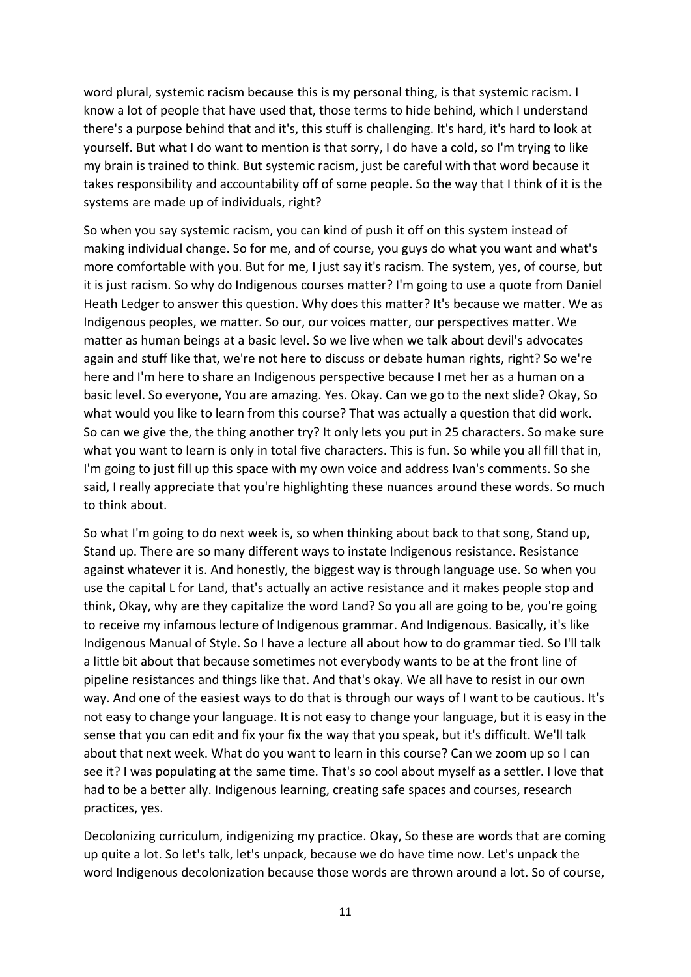word plural, systemic racism because this is my personal thing, is that systemic racism. I know a lot of people that have used that, those terms to hide behind, which I understand there's a purpose behind that and it's, this stuff is challenging. It's hard, it's hard to look at yourself. But what I do want to mention is that sorry, I do have a cold, so I'm trying to like my brain is trained to think. But systemic racism, just be careful with that word because it takes responsibility and accountability off of some people. So the way that I think of it is the systems are made up of individuals, right?

So when you say systemic racism, you can kind of push it off on this system instead of making individual change. So for me, and of course, you guys do what you want and what's more comfortable with you. But for me, I just say it's racism. The system, yes, of course, but it is just racism. So why do Indigenous courses matter? I'm going to use a quote from Daniel Heath Ledger to answer this question. Why does this matter? It's because we matter. We as Indigenous peoples, we matter. So our, our voices matter, our perspectives matter. We matter as human beings at a basic level. So we live when we talk about devil's advocates again and stuff like that, we're not here to discuss or debate human rights, right? So we're here and I'm here to share an Indigenous perspective because I met her as a human on a basic level. So everyone, You are amazing. Yes. Okay. Can we go to the next slide? Okay, So what would you like to learn from this course? That was actually a question that did work. So can we give the, the thing another try? It only lets you put in 25 characters. So make sure what you want to learn is only in total five characters. This is fun. So while you all fill that in, I'm going to just fill up this space with my own voice and address Ivan's comments. So she said, I really appreciate that you're highlighting these nuances around these words. So much to think about.

So what I'm going to do next week is, so when thinking about back to that song, Stand up, Stand up. There are so many different ways to instate Indigenous resistance. Resistance against whatever it is. And honestly, the biggest way is through language use. So when you use the capital L for Land, that's actually an active resistance and it makes people stop and think, Okay, why are they capitalize the word Land? So you all are going to be, you're going to receive my infamous lecture of Indigenous grammar. And Indigenous. Basically, it's like Indigenous Manual of Style. So I have a lecture all about how to do grammar tied. So I'll talk a little bit about that because sometimes not everybody wants to be at the front line of pipeline resistances and things like that. And that's okay. We all have to resist in our own way. And one of the easiest ways to do that is through our ways of I want to be cautious. It's not easy to change your language. It is not easy to change your language, but it is easy in the sense that you can edit and fix your fix the way that you speak, but it's difficult. We'll talk about that next week. What do you want to learn in this course? Can we zoom up so I can see it? I was populating at the same time. That's so cool about myself as a settler. I love that had to be a better ally. Indigenous learning, creating safe spaces and courses, research practices, yes.

Decolonizing curriculum, indigenizing my practice. Okay, So these are words that are coming up quite a lot. So let's talk, let's unpack, because we do have time now. Let's unpack the word Indigenous decolonization because those words are thrown around a lot. So of course,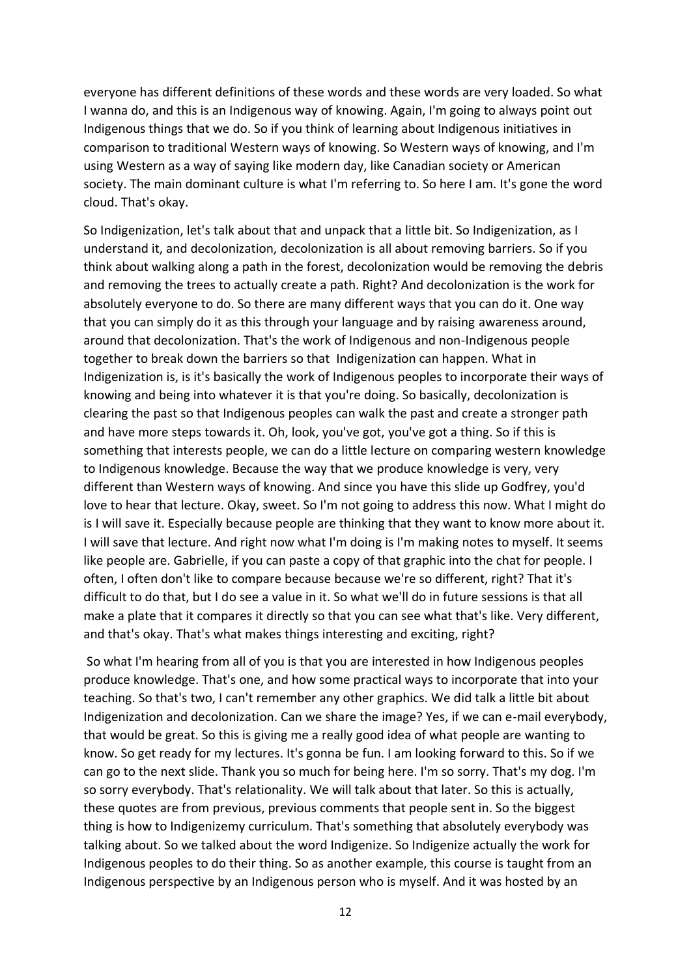everyone has different definitions of these words and these words are very loaded. So what I wanna do, and this is an Indigenous way of knowing. Again, I'm going to always point out Indigenous things that we do. So if you think of learning about Indigenous initiatives in comparison to traditional Western ways of knowing. So Western ways of knowing, and I'm using Western as a way of saying like modern day, like Canadian society or American society. The main dominant culture is what I'm referring to. So here I am. It's gone the word cloud. That's okay.

So Indigenization, let's talk about that and unpack that a little bit. So Indigenization, as I understand it, and decolonization, decolonization is all about removing barriers. So if you think about walking along a path in the forest, decolonization would be removing the debris and removing the trees to actually create a path. Right? And decolonization is the work for absolutely everyone to do. So there are many different ways that you can do it. One way that you can simply do it as this through your language and by raising awareness around, around that decolonization. That's the work of Indigenous and non-Indigenous people together to break down the barriers so that Indigenization can happen. What in Indigenization is, is it's basically the work of Indigenous peoples to incorporate their ways of knowing and being into whatever it is that you're doing. So basically, decolonization is clearing the past so that Indigenous peoples can walk the past and create a stronger path and have more steps towards it. Oh, look, you've got, you've got a thing. So if this is something that interests people, we can do a little lecture on comparing western knowledge to Indigenous knowledge. Because the way that we produce knowledge is very, very different than Western ways of knowing. And since you have this slide up Godfrey, you'd love to hear that lecture. Okay, sweet. So I'm not going to address this now. What I might do is I will save it. Especially because people are thinking that they want to know more about it. I will save that lecture. And right now what I'm doing is I'm making notes to myself. It seems like people are. Gabrielle, if you can paste a copy of that graphic into the chat for people. I often, I often don't like to compare because because we're so different, right? That it's difficult to do that, but I do see a value in it. So what we'll do in future sessions is that all make a plate that it compares it directly so that you can see what that's like. Very different, and that's okay. That's what makes things interesting and exciting, right?

So what I'm hearing from all of you is that you are interested in how Indigenous peoples produce knowledge. That's one, and how some practical ways to incorporate that into your teaching. So that's two, I can't remember any other graphics. We did talk a little bit about Indigenization and decolonization. Can we share the image? Yes, if we can e-mail everybody, that would be great. So this is giving me a really good idea of what people are wanting to know. So get ready for my lectures. It's gonna be fun. I am looking forward to this. So if we can go to the next slide. Thank you so much for being here. I'm so sorry. That's my dog. I'm so sorry everybody. That's relationality. We will talk about that later. So this is actually, these quotes are from previous, previous comments that people sent in. So the biggest thing is how to Indigenizemy curriculum. That's something that absolutely everybody was talking about. So we talked about the word Indigenize. So Indigenize actually the work for Indigenous peoples to do their thing. So as another example, this course is taught from an Indigenous perspective by an Indigenous person who is myself. And it was hosted by an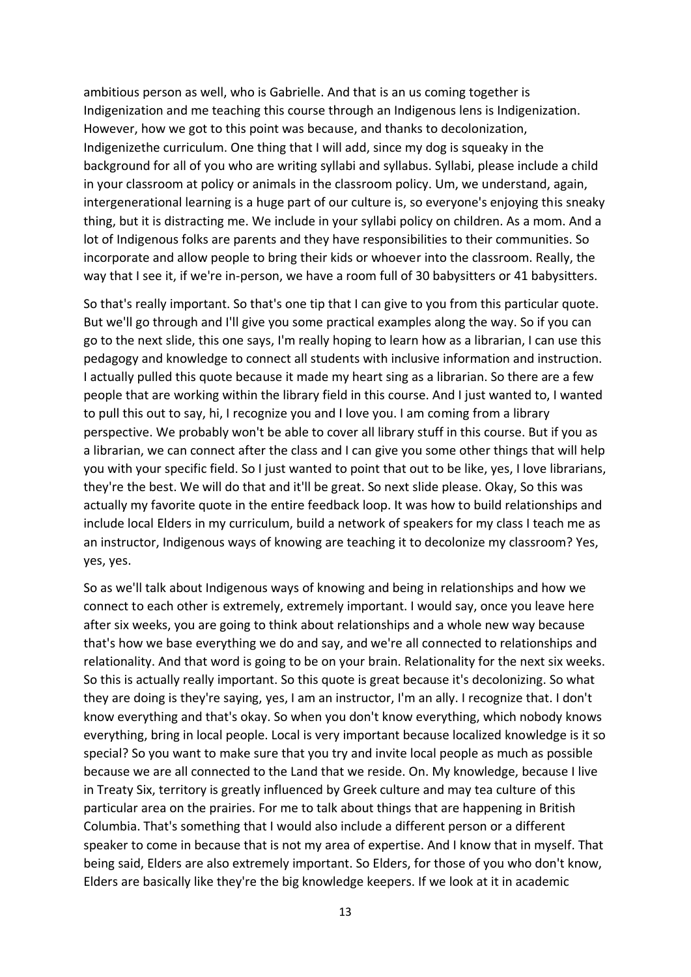ambitious person as well, who is Gabrielle. And that is an us coming together is Indigenization and me teaching this course through an Indigenous lens is Indigenization. However, how we got to this point was because, and thanks to decolonization, Indigenizethe curriculum. One thing that I will add, since my dog is squeaky in the background for all of you who are writing syllabi and syllabus. Syllabi, please include a child in your classroom at policy or animals in the classroom policy. Um, we understand, again, intergenerational learning is a huge part of our culture is, so everyone's enjoying this sneaky thing, but it is distracting me. We include in your syllabi policy on children. As a mom. And a lot of Indigenous folks are parents and they have responsibilities to their communities. So incorporate and allow people to bring their kids or whoever into the classroom. Really, the way that I see it, if we're in-person, we have a room full of 30 babysitters or 41 babysitters.

So that's really important. So that's one tip that I can give to you from this particular quote. But we'll go through and I'll give you some practical examples along the way. So if you can go to the next slide, this one says, I'm really hoping to learn how as a librarian, I can use this pedagogy and knowledge to connect all students with inclusive information and instruction. I actually pulled this quote because it made my heart sing as a librarian. So there are a few people that are working within the library field in this course. And I just wanted to, I wanted to pull this out to say, hi, I recognize you and I love you. I am coming from a library perspective. We probably won't be able to cover all library stuff in this course. But if you as a librarian, we can connect after the class and I can give you some other things that will help you with your specific field. So I just wanted to point that out to be like, yes, I love librarians, they're the best. We will do that and it'll be great. So next slide please. Okay, So this was actually my favorite quote in the entire feedback loop. It was how to build relationships and include local Elders in my curriculum, build a network of speakers for my class I teach me as an instructor, Indigenous ways of knowing are teaching it to decolonize my classroom? Yes, yes, yes.

So as we'll talk about Indigenous ways of knowing and being in relationships and how we connect to each other is extremely, extremely important. I would say, once you leave here after six weeks, you are going to think about relationships and a whole new way because that's how we base everything we do and say, and we're all connected to relationships and relationality. And that word is going to be on your brain. Relationality for the next six weeks. So this is actually really important. So this quote is great because it's decolonizing. So what they are doing is they're saying, yes, I am an instructor, I'm an ally. I recognize that. I don't know everything and that's okay. So when you don't know everything, which nobody knows everything, bring in local people. Local is very important because localized knowledge is it so special? So you want to make sure that you try and invite local people as much as possible because we are all connected to the Land that we reside. On. My knowledge, because I live in Treaty Six, territory is greatly influenced by Greek culture and may tea culture of this particular area on the prairies. For me to talk about things that are happening in British Columbia. That's something that I would also include a different person or a different speaker to come in because that is not my area of expertise. And I know that in myself. That being said, Elders are also extremely important. So Elders, for those of you who don't know, Elders are basically like they're the big knowledge keepers. If we look at it in academic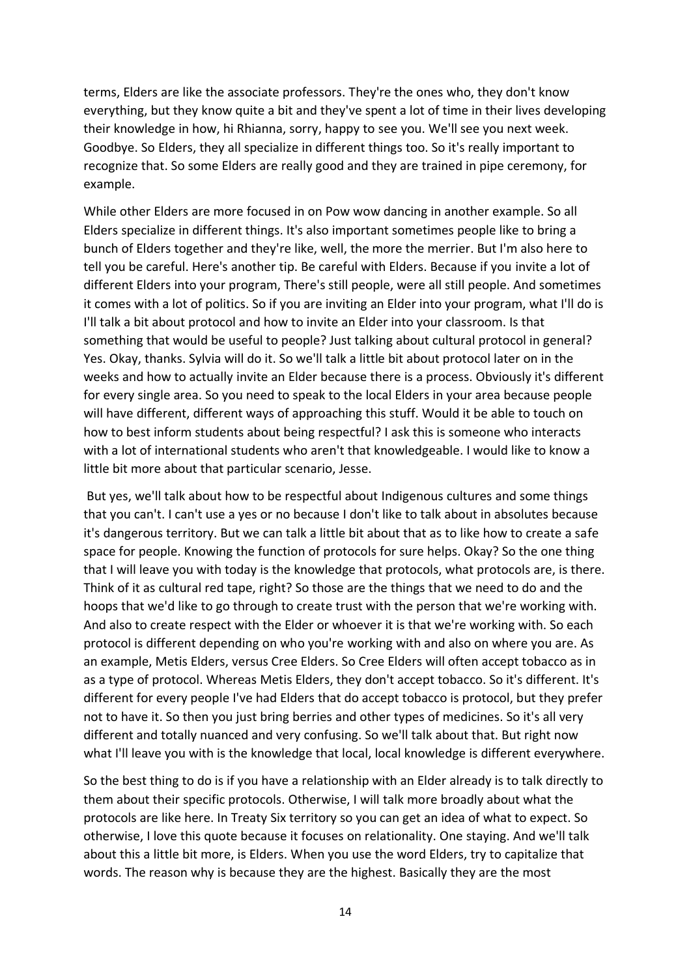terms, Elders are like the associate professors. They're the ones who, they don't know everything, but they know quite a bit and they've spent a lot of time in their lives developing their knowledge in how, hi Rhianna, sorry, happy to see you. We'll see you next week. Goodbye. So Elders, they all specialize in different things too. So it's really important to recognize that. So some Elders are really good and they are trained in pipe ceremony, for example.

While other Elders are more focused in on Pow wow dancing in another example. So all Elders specialize in different things. It's also important sometimes people like to bring a bunch of Elders together and they're like, well, the more the merrier. But I'm also here to tell you be careful. Here's another tip. Be careful with Elders. Because if you invite a lot of different Elders into your program, There's still people, were all still people. And sometimes it comes with a lot of politics. So if you are inviting an Elder into your program, what I'll do is I'll talk a bit about protocol and how to invite an Elder into your classroom. Is that something that would be useful to people? Just talking about cultural protocol in general? Yes. Okay, thanks. Sylvia will do it. So we'll talk a little bit about protocol later on in the weeks and how to actually invite an Elder because there is a process. Obviously it's different for every single area. So you need to speak to the local Elders in your area because people will have different, different ways of approaching this stuff. Would it be able to touch on how to best inform students about being respectful? I ask this is someone who interacts with a lot of international students who aren't that knowledgeable. I would like to know a little bit more about that particular scenario, Jesse.

But yes, we'll talk about how to be respectful about Indigenous cultures and some things that you can't. I can't use a yes or no because I don't like to talk about in absolutes because it's dangerous territory. But we can talk a little bit about that as to like how to create a safe space for people. Knowing the function of protocols for sure helps. Okay? So the one thing that I will leave you with today is the knowledge that protocols, what protocols are, is there. Think of it as cultural red tape, right? So those are the things that we need to do and the hoops that we'd like to go through to create trust with the person that we're working with. And also to create respect with the Elder or whoever it is that we're working with. So each protocol is different depending on who you're working with and also on where you are. As an example, Metis Elders, versus Cree Elders. So Cree Elders will often accept tobacco as in as a type of protocol. Whereas Metis Elders, they don't accept tobacco. So it's different. It's different for every people I've had Elders that do accept tobacco is protocol, but they prefer not to have it. So then you just bring berries and other types of medicines. So it's all very different and totally nuanced and very confusing. So we'll talk about that. But right now what I'll leave you with is the knowledge that local, local knowledge is different everywhere.

So the best thing to do is if you have a relationship with an Elder already is to talk directly to them about their specific protocols. Otherwise, I will talk more broadly about what the protocols are like here. In Treaty Six territory so you can get an idea of what to expect. So otherwise, I love this quote because it focuses on relationality. One staying. And we'll talk about this a little bit more, is Elders. When you use the word Elders, try to capitalize that words. The reason why is because they are the highest. Basically they are the most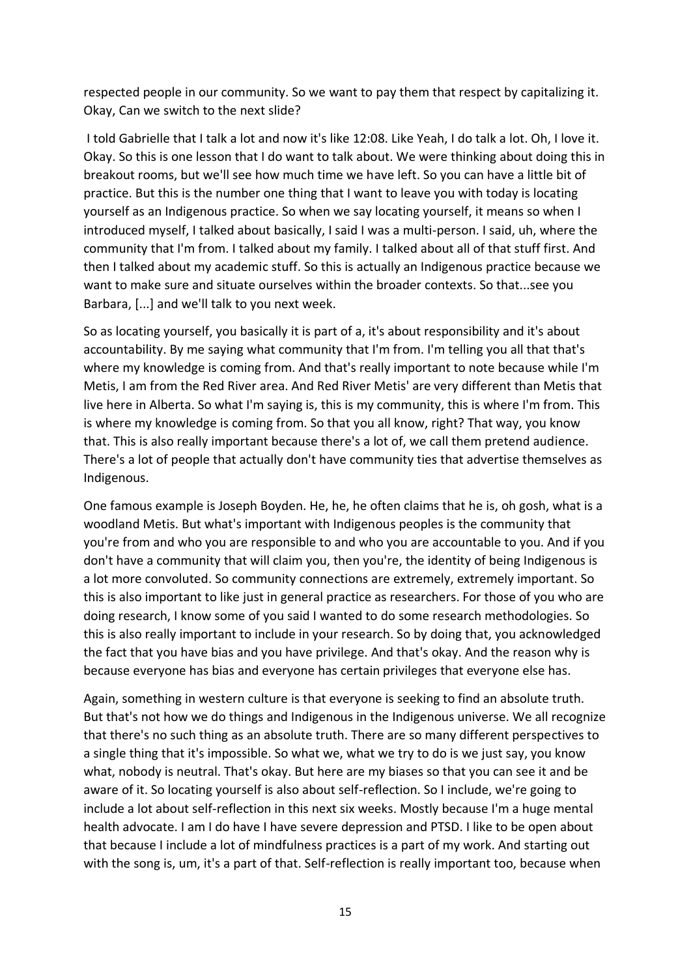respected people in our community. So we want to pay them that respect by capitalizing it. Okay, Can we switch to the next slide?

I told Gabrielle that I talk a lot and now it's like 12:08. Like Yeah, I do talk a lot. Oh, I love it. Okay. So this is one lesson that I do want to talk about. We were thinking about doing this in breakout rooms, but we'll see how much time we have left. So you can have a little bit of practice. But this is the number one thing that I want to leave you with today is locating yourself as an Indigenous practice. So when we say locating yourself, it means so when I introduced myself, I talked about basically, I said I was a multi-person. I said, uh, where the community that I'm from. I talked about my family. I talked about all of that stuff first. And then I talked about my academic stuff. So this is actually an Indigenous practice because we want to make sure and situate ourselves within the broader contexts. So that...see you Barbara, [...] and we'll talk to you next week.

So as locating yourself, you basically it is part of a, it's about responsibility and it's about accountability. By me saying what community that I'm from. I'm telling you all that that's where my knowledge is coming from. And that's really important to note because while I'm Metis, I am from the Red River area. And Red River Metis' are very different than Metis that live here in Alberta. So what I'm saying is, this is my community, this is where I'm from. This is where my knowledge is coming from. So that you all know, right? That way, you know that. This is also really important because there's a lot of, we call them pretend audience. There's a lot of people that actually don't have community ties that advertise themselves as Indigenous.

One famous example is Joseph Boyden. He, he, he often claims that he is, oh gosh, what is a woodland Metis. But what's important with Indigenous peoples is the community that you're from and who you are responsible to and who you are accountable to you. And if you don't have a community that will claim you, then you're, the identity of being Indigenous is a lot more convoluted. So community connections are extremely, extremely important. So this is also important to like just in general practice as researchers. For those of you who are doing research, I know some of you said I wanted to do some research methodologies. So this is also really important to include in your research. So by doing that, you acknowledged the fact that you have bias and you have privilege. And that's okay. And the reason why is because everyone has bias and everyone has certain privileges that everyone else has.

Again, something in western culture is that everyone is seeking to find an absolute truth. But that's not how we do things and Indigenous in the Indigenous universe. We all recognize that there's no such thing as an absolute truth. There are so many different perspectives to a single thing that it's impossible. So what we, what we try to do is we just say, you know what, nobody is neutral. That's okay. But here are my biases so that you can see it and be aware of it. So locating yourself is also about self-reflection. So I include, we're going to include a lot about self-reflection in this next six weeks. Mostly because I'm a huge mental health advocate. I am I do have I have severe depression and PTSD. I like to be open about that because I include a lot of mindfulness practices is a part of my work. And starting out with the song is, um, it's a part of that. Self-reflection is really important too, because when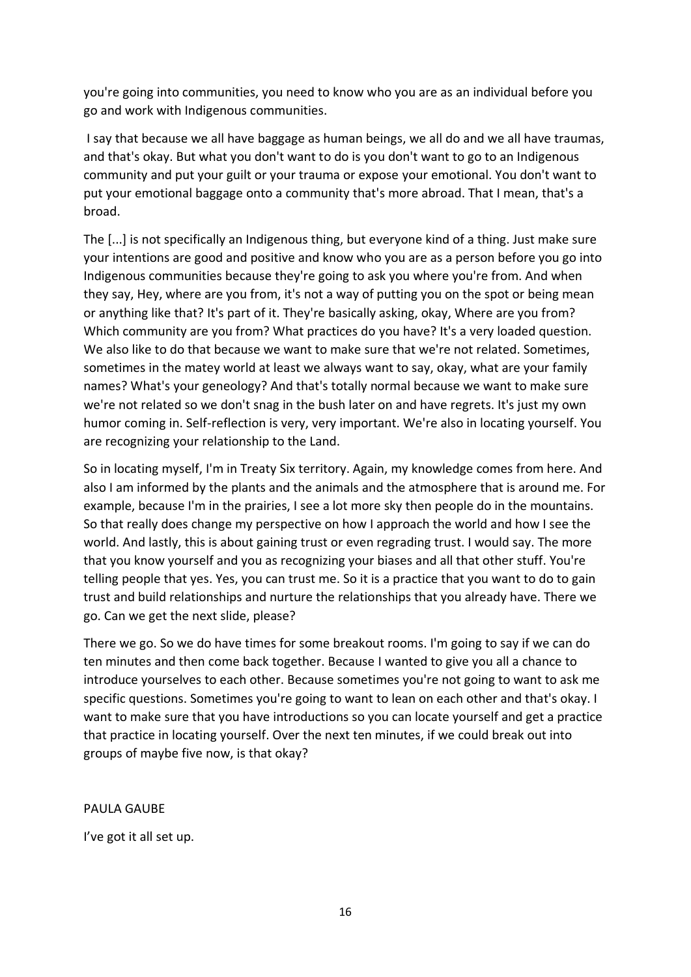you're going into communities, you need to know who you are as an individual before you go and work with Indigenous communities.

I say that because we all have baggage as human beings, we all do and we all have traumas, and that's okay. But what you don't want to do is you don't want to go to an Indigenous community and put your guilt or your trauma or expose your emotional. You don't want to put your emotional baggage onto a community that's more abroad. That I mean, that's a broad.

The [...] is not specifically an Indigenous thing, but everyone kind of a thing. Just make sure your intentions are good and positive and know who you are as a person before you go into Indigenous communities because they're going to ask you where you're from. And when they say, Hey, where are you from, it's not a way of putting you on the spot or being mean or anything like that? It's part of it. They're basically asking, okay, Where are you from? Which community are you from? What practices do you have? It's a very loaded question. We also like to do that because we want to make sure that we're not related. Sometimes, sometimes in the matey world at least we always want to say, okay, what are your family names? What's your geneology? And that's totally normal because we want to make sure we're not related so we don't snag in the bush later on and have regrets. It's just my own humor coming in. Self-reflection is very, very important. We're also in locating yourself. You are recognizing your relationship to the Land.

So in locating myself, I'm in Treaty Six territory. Again, my knowledge comes from here. And also I am informed by the plants and the animals and the atmosphere that is around me. For example, because I'm in the prairies, I see a lot more sky then people do in the mountains. So that really does change my perspective on how I approach the world and how I see the world. And lastly, this is about gaining trust or even regrading trust. I would say. The more that you know yourself and you as recognizing your biases and all that other stuff. You're telling people that yes. Yes, you can trust me. So it is a practice that you want to do to gain trust and build relationships and nurture the relationships that you already have. There we go. Can we get the next slide, please?

There we go. So we do have times for some breakout rooms. I'm going to say if we can do ten minutes and then come back together. Because I wanted to give you all a chance to introduce yourselves to each other. Because sometimes you're not going to want to ask me specific questions. Sometimes you're going to want to lean on each other and that's okay. I want to make sure that you have introductions so you can locate yourself and get a practice that practice in locating yourself. Over the next ten minutes, if we could break out into groups of maybe five now, is that okay?

PAULA GAUBE

I've got it all set up.